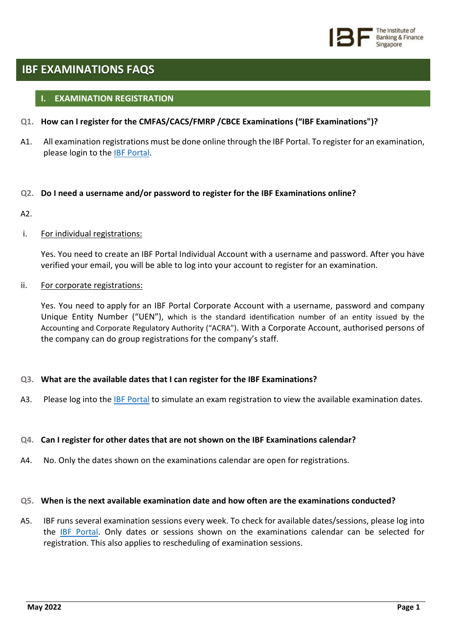

# **IBF EXAMINATIONS FAQS**

# **I. EXAMINATION REGISTRATION**

- **Q1. How can I register for the CMFAS/CACS/FMRP /CBCE Examinations ("IBF Examinations")?**
- A1. All examination registrations must be done online through the IBF Portal. To register for an examination, please login to the [IBF Portal.](https://eservices.ibf.org.sg/Account/Login?ReturnUrl=%2F)

# **Q2. Do I need a username and/or password to register for the IBF Examinations online?**

 $\Delta$ 

# i. For individual registrations:

Yes. You need to create an IBF Portal Individual Account with a username and password. After you have verified your email, you will be able to log into your account to register for an examination.

### ii. For corporate registrations:

Yes. You need to apply for an IBF Portal Corporate Account with a username, password and company Unique Entity Number ("UEN"), which is the standard identification number of an entity issued by the Accounting and Corporate Regulatory Authority ("ACRA"). With a Corporate Account, authorised persons of the company can do group registrations for the company's staff.

# **Q3. What are the available dates that I can register for the IBF Examinations?**

A3. Please log into the [IBF Portal](https://eservices.ibf.org.sg/Account/Login?ReturnUrl=%2F) to simulate an exam registration to view the available examination dates.

# **Q4. Can I register for other dates that are not shown on the IBF Examinations calendar?**

A4. No. Only the dates shown on the examinations calendar are open for registrations.

### **Q5. When is the next available examination date and how often are the examinations conducted?**

A5. IBF runs several examination sessions every week. To check for available dates/sessions, please log into the [IBF Portal.](https://eservices.ibf.org.sg/Account/Login?ReturnUrl=%2F) Only dates or sessions shown on the examinations calendar can be selected for registration. This also applies to rescheduling of examination sessions.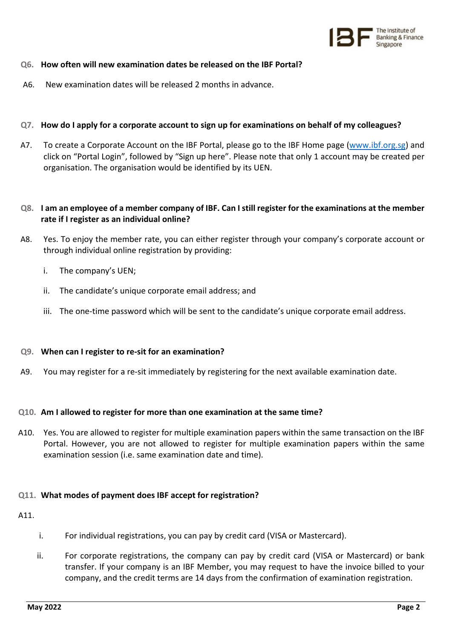

# **Q6. How often will new examination dates be released on the IBF Portal?**

A6. New examination dates will be released 2 months in advance.

# **Q7. How do I apply for a corporate account to sign up for examinations on behalf of my colleagues?**

A7. To create a Corporate Account on the IBF Portal, please go to the IBF Home page [\(www.ibf.org.sg\)](http://www.ibf.org.sg/) and click on "Portal Login", followed by "Sign up here". Please note that only 1 account may be created per organisation. The organisation would be identified by its UEN.

# **Q8. I am an employee of a member company of IBF. Can I still register for the examinations at the member rate if I register as an individual online?**

- A8. Yes. To enjoy the member rate, you can either register through your company's corporate account or through individual online registration by providing:
	- i. The company's UEN;
	- ii. The candidate's unique corporate email address; and
	- iii. The one-time password which will be sent to the candidate's unique corporate email address.

#### **Q9. When can I register to re-sit for an examination?**

A9. You may register for a re-sit immediately by registering for the next available examination date.

#### **Q10. Am I allowed to register for more than one examination at the same time?**

A10. Yes. You are allowed to register for multiple examination papers within the same transaction on the IBF Portal. However, you are not allowed to register for multiple examination papers within the same examination session (i.e. same examination date and time).

# **Q11. What modes of payment does IBF accept for registration?**

A11.

- i. For individual registrations, you can pay by credit card (VISA or Mastercard).
- ii. For corporate registrations, the company can pay by credit card (VISA or Mastercard) or bank transfer. If your company is an IBF Member, you may request to have the invoice billed to your company, and the credit terms are 14 days from the confirmation of examination registration.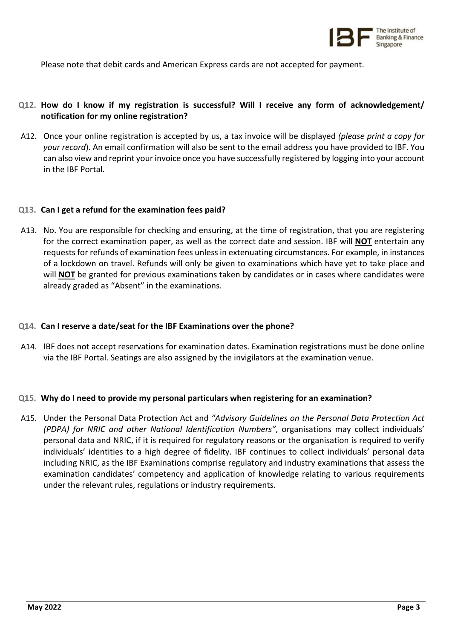

Please note that debit cards and American Express cards are not accepted for payment.

# **Q12. How do I know if my registration is successful? Will I receive any form of acknowledgement/ notification for my online registration?**

A12. Once your online registration is accepted by us, a tax invoice will be displayed *(please print a copy for your record*). An email confirmation will also be sent to the email address you have provided to IBF. You can also view and reprint your invoice once you have successfully registered by logging into your account in the IBF Portal.

#### **Q13. Can I get a refund for the examination fees paid?**

A13. No. You are responsible for checking and ensuring, at the time of registration, that you are registering for the correct examination paper, as well as the correct date and session. IBF will **NOT** entertain any requests for refunds of examination fees unless in extenuating circumstances. For example, in instances of a lockdown on travel. Refunds will only be given to examinations which have yet to take place and will **NOT** be granted for previous examinations taken by candidates or in cases where candidates were already graded as "Absent" in the examinations.

#### **Q14. Can I reserve a date/seat for the IBF Examinations over the phone?**

A14. IBF does not accept reservations for examination dates. Examination registrations must be done online via the IBF Portal. Seatings are also assigned by the invigilators at the examination venue.

#### **Q15. Why do I need to provide my personal particulars when registering for an examination?**

A15. Under the Personal Data Protection Act and *"Advisory Guidelines on the Personal Data Protection Act (PDPA) for NRIC and other National Identification Numbers"*, organisations may collect individuals' personal data and NRIC, if it is required for regulatory reasons or the organisation is required to verify individuals' identities to a high degree of fidelity. IBF continues to collect individuals' personal data including NRIC, as the IBF Examinations comprise regulatory and industry examinations that assess the examination candidates' competency and application of knowledge relating to various requirements under the relevant rules, regulations or industry requirements.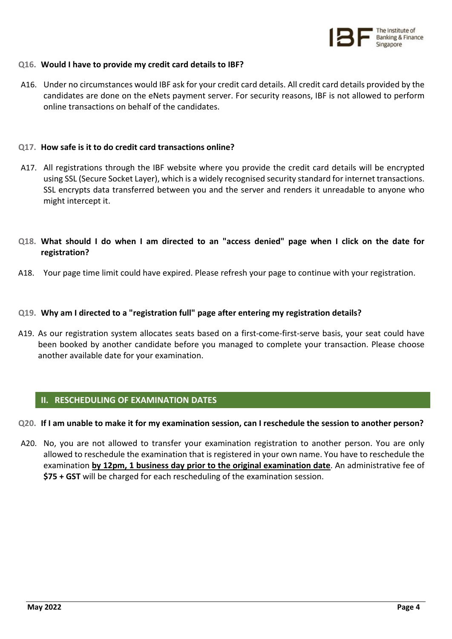

#### **Q16. Would I have to provide my credit card details to IBF?**

A16. Under no circumstances would IBF ask for your credit card details. All credit card details provided by the candidates are done on the eNets payment server. For security reasons, IBF is not allowed to perform online transactions on behalf of the candidates.

# **Q17. How safe is it to do credit card transactions online?**

A17. All registrations through the IBF website where you provide the credit card details will be encrypted using SSL (Secure Socket Layer), which is a widely recognised security standard for internet transactions. SSL encrypts data transferred between you and the server and renders it unreadable to anyone who might intercept it.

# **Q18. What should I do when I am directed to an "access denied" page when I click on the date for registration?**

A18. Your page time limit could have expired. Please refresh your page to continue with your registration.

### **Q19. Why am I directed to a "registration full" page after entering my registration details?**

A19. As our registration system allocates seats based on a first-come-first-serve basis, your seat could have been booked by another candidate before you managed to complete your transaction. Please choose another available date for your examination.

# **II. RESCHEDULING OF EXAMINATION DATES**

#### **Q20. If I am unable to make it for my examination session, can I reschedule the session to another person?**

A20. No, you are not allowed to transfer your examination registration to another person. You are only allowed to reschedule the examination that is registered in your own name. You have to reschedule the examination **by 12pm, 1 business day prior to the original examination date**. An administrative fee of **\$75 + GST** will be charged for each rescheduling of the examination session.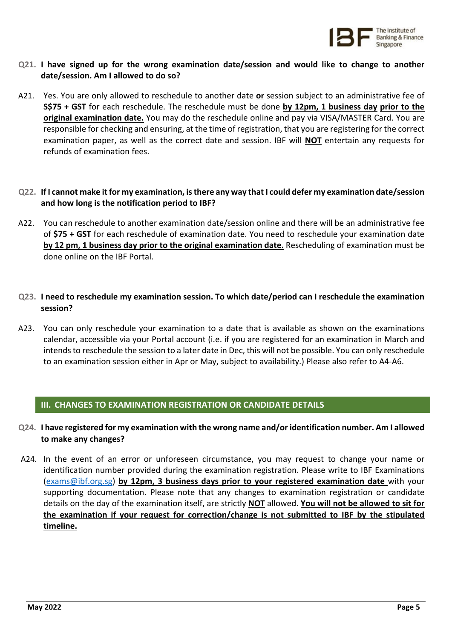

- **Q21. I have signed up for the wrong examination date/session and would like to change to another date/session. Am I allowed to do so?**
- A21. Yes. You are only allowed to reschedule to another date **or** session subject to an administrative fee of **S\$75 + GST** for each reschedule. The reschedule must be done **by 12pm, 1 business day prior to the original examination date.** You may do the reschedule online and pay via VISA/MASTER Card. You are responsible for checking and ensuring, at the time of registration, that you are registering for the correct examination paper, as well as the correct date and session. IBF will **NOT** entertain any requests for refunds of examination fees.
- **Q22. If I cannot make it for my examination, is there any way that I could defer my examination date/session and how long is the notification period to IBF?**
- A22. You can reschedule to another examination date/session online and there will be an administrative fee of **\$75 + GST** for each reschedule of examination date. You need to reschedule your examination date **by 12 pm, 1 business day prior to the original examination date.** Rescheduling of examination must be done online on the IBF Portal.
- **Q23. I need to reschedule my examination session. To which date/period can I reschedule the examination session?**
- A23. You can only reschedule your examination to a date that is available as shown on the examinations calendar, accessible via your Portal account (i.e. if you are registered for an examination in March and intends to reschedule the session to a later date in Dec, this will not be possible. You can only reschedule to an examination session either in Apr or May, subject to availability.) Please also refer to A4-A6.

# **III. CHANGES TO EXAMINATION REGISTRATION OR CANDIDATE DETAILS**

- **Q24. I have registered for my examination with the wrong name and/or identification number. Am I allowed to make any changes?**
- A24. In the event of an error or unforeseen circumstance, you may request to change your name or identification number provided during the examination registration. Please write to IBF Examinations [\(exams@ibf.org.sg\)](mailto:exams@ibf.org.sg) **by 12pm, 3 business days prior to your registered examination date** with your supporting documentation. Please note that any changes to examination registration or candidate details on the day of the examination itself, are strictly **NOT** allowed. **You will not be allowed to sit for the examination if your request for correction/change is not submitted to IBF by the stipulated timeline.**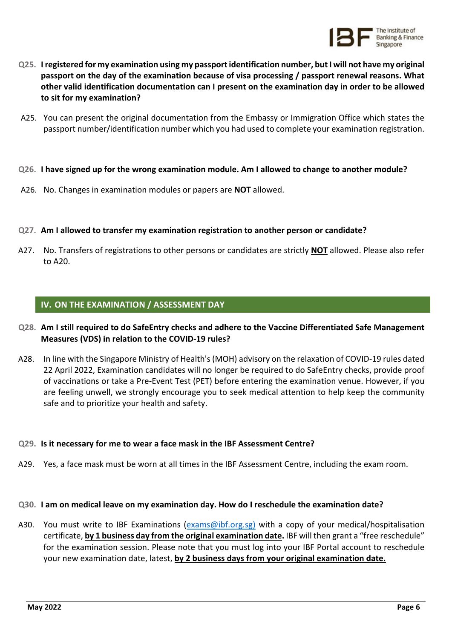

- **Q25. I registered for my examination using my passport identification number, but I will not have my original passport on the day of the examination because of visa processing / passport renewal reasons. What other valid identification documentation can I present on the examination day in order to be allowed to sit for my examination?**
- A25. You can present the original documentation from the Embassy or Immigration Office which states the passport number/identification number which you had used to complete your examination registration.
- **Q26. I have signed up for the wrong examination module. Am I allowed to change to another module?**
- A26. No. Changes in examination modules or papers are **NOT** allowed.
- **Q27. Am I allowed to transfer my examination registration to another person or candidate?**
- A27. No. Transfers of registrations to other persons or candidates are strictly **NOT** allowed. Please also refer to A20.

# **IV. ON THE EXAMINATION / ASSESSMENT DAY**

- **Q28. Am I still required to do SafeEntry checks and adhere to the Vaccine Differentiated Safe Management Measures (VDS) in relation to the COVID-19 rules?**
- A28. In line with the Singapore Ministry of Health's (MOH) advisory on the relaxation of COVID-19 rules dated 22 April 2022, Examination candidates will no longer be required to do SafeEntry checks, provide proof of vaccinations or take a Pre-Event Test (PET) before entering the examination venue. However, if you are feeling unwell, we strongly encourage you to seek medical attention to help keep the community safe and to prioritize your health and safety.

#### **Q29. Is it necessary for me to wear a face mask in the IBF Assessment Centre?**

A29. Yes, a face mask must be worn at all times in the IBF Assessment Centre, including the exam room.

#### **Q30. I am on medical leave on my examination day. How do I reschedule the examination date?**

A30. You must write to IBF Examinations [\(exams@ibf.org.sg\)](mailto:exams@ibf.org.sg) with a copy of your medical/hospitalisation certificate, **by 1 business day from the original examination date.** IBF will then grant a "free reschedule" for the examination session. Please note that you must log into your IBF Portal account to reschedule your new examination date, latest, **by 2 business days from your original examination date.**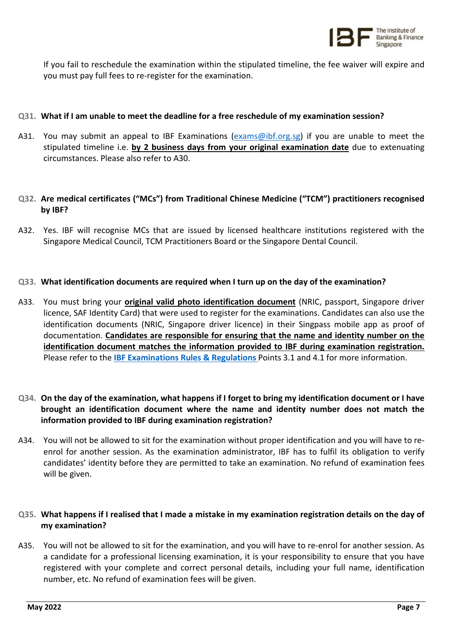

If you fail to reschedule the examination within the stipulated timeline, the fee waiver will expire and you must pay full fees to re-register for the examination.

# **Q31. What if I am unable to meet the deadline for a free reschedule of my examination session?**

A31. You may submit an appeal to IBF Examinations [\(exams@ibf.org.sg\)](mailto:exams@ibf.org.sg) if you are unable to meet the stipulated timeline i.e. **by 2 business days from your original examination date** due to extenuating circumstances. Please also refer to A30.

# **Q32. Are medical certificates ("MCs") from Traditional Chinese Medicine ("TCM") practitioners recognised by IBF?**

A32. Yes. IBF will recognise MCs that are issued by licensed healthcare institutions registered with the Singapore Medical Council, TCM Practitioners Board or the Singapore Dental Council.

# **Q33. What identification documents are required when I turn up on the day of the examination?**

A33. You must bring your **original valid photo identification document** (NRIC, passport, Singapore driver licence, SAF Identity Card) that were used to register for the examinations. Candidates can also use the identification documents (NRIC, Singapore driver licence) in their Singpass mobile app as proof of documentation. **Candidates are responsible for ensuring that the name and identity number on the identification document matches the information provided to IBF during examination registration.** Please refer to the **[IBF Examinations Rules & Regulations](https://www.ibf.org.sg/programmes/examination/Documents/ExamRulesandRegs_Dec21.pdf)** Points 3.1 and 4.1 for more information.

# **Q34. On the day of the examination, what happens if I forget to bring my identification document or I have brought an identification document where the name and identity number does not match the information provided to IBF during examination registration?**

A34. You will not be allowed to sit for the examination without proper identification and you will have to reenrol for another session. As the examination administrator, IBF has to fulfil its obligation to verify candidates' identity before they are permitted to take an examination. No refund of examination fees will be given.

# **Q35. What happens if I realised that I made a mistake in my examination registration details on the day of my examination?**

A35. You will not be allowed to sit for the examination, and you will have to re-enrol for another session. As a candidate for a professional licensing examination, it is your responsibility to ensure that you have registered with your complete and correct personal details, including your full name, identification number, etc. No refund of examination fees will be given.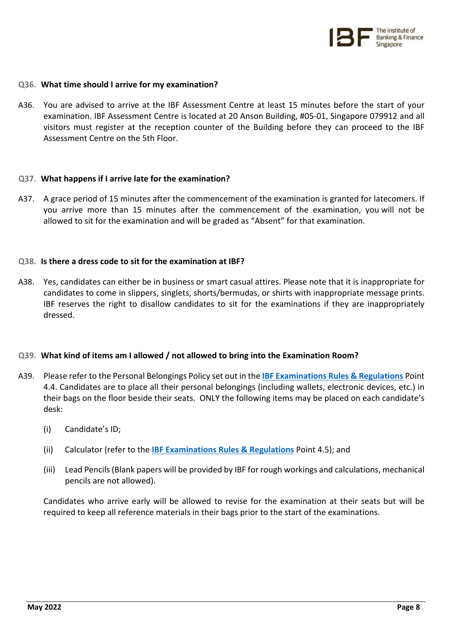

#### **Q36. What time should I arrive for my examination?**

A36. You are advised to arrive at the IBF Assessment Centre at least 15 minutes before the start of your examination. IBF Assessment Centre is located at 20 Anson Building, #05-01, Singapore 079912 and all visitors must register at the reception counter of the Building before they can proceed to the IBF Assessment Centre on the 5th Floor.

#### **Q37. What happens if I arrive late for the examination?**

A37. A grace period of 15 minutes after the commencement of the examination is granted for latecomers. If you arrive more than 15 minutes after the commencement of the examination, you will not be allowed to sit for the examination and will be graded as "Absent" for that examination.

### **Q38. Is there a dress code to sit for the examination at IBF?**

A38. Yes, candidates can either be in business or smart casual attires. Please note that it is inappropriate for candidates to come in slippers, singlets, shorts/bermudas, or shirts with inappropriate message prints. IBF reserves the right to disallow candidates to sit for the examinations if they are inappropriately dressed.

# **Q39. What kind of items am I allowed / not allowed to bring into the Examination Room?**

- A39. Please refer to the Personal Belongings Policy set out in the **[IBF Examinations Rules & Regulations](https://www.ibf.org.sg/programmes/examination/Documents/ExamRulesandRegs_Dec21.pdf)** Point 4.4. Candidates are to place all their personal belongings (including wallets, electronic devices, etc.) in their bags on the floor beside their seats. ONLY the following items may be placed on each candidate's desk:
	- (i) Candidate's ID;
	- (ii) Calculator (refer to the **[IBF Examinations Rules & Regulations](https://www.ibf.org.sg/programmes/examination/Documents/ExamRulesandRegs_Dec21.pdf)** Point 4.5); and
	- (iii) Lead Pencils (Blank papers will be provided by IBF for rough workings and calculations, mechanical pencils are not allowed).

Candidates who arrive early will be allowed to revise for the examination at their seats but will be required to keep all reference materials in their bags prior to the start of the examinations.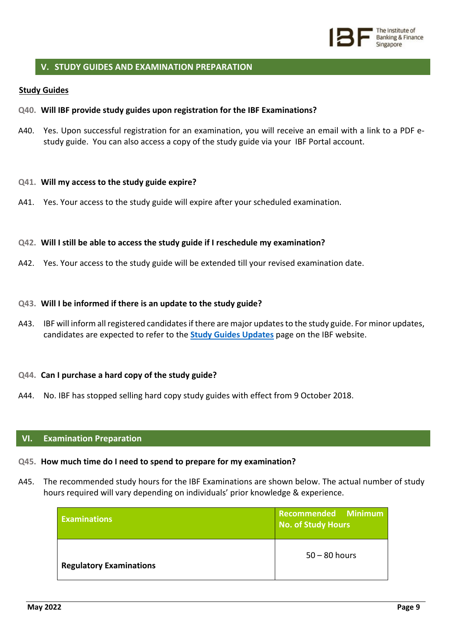

# **V. STUDY GUIDES AND EXAMINATION PREPARATION**

#### **Study Guides**

#### **Q40. Will IBF provide study guides upon registration for the IBF Examinations?**

A40. Yes. Upon successful registration for an examination, you will receive an email with a link to a PDF estudy guide. You can also access a copy of the study guide via your [IBF Portal](https://eservices.ibf.org.sg/Account/Login?ReturnUrl=%2F) account.

#### **Q41. Will my access to the study guide expire?**

A41. Yes. Your access to the study guide will expire after your scheduled examination.

#### **Q42. Will I still be able to access the study guide if I reschedule my examination?**

A42. Yes. Your access to the study guide will be extended till your revised examination date.

#### **Q43. Will I be informed if there is an update to the study guide?**

A43. IBF will inform all registered candidates if there are major updates to the study guide. For minor updates, candidates are expected to refer to the **[Study Guides Updates](https://www.ibf.org.sg/programmes/examination/Pages/Study-Guide-Updates.aspx)** page on the IBF website.

#### **Q44. Can I purchase a hard copy of the study guide?**

A44. No. IBF has stopped selling hard copy study guides with effect from 9 October 2018.

#### **VI. Examination Preparation**

#### **Q45. How much time do I need to spend to prepare for my examination?**

A45. The recommended study hours for the IBF Examinations are shown below. The actual number of study hours required will vary depending on individuals' prior knowledge & experience.

| <b>Examinations</b>            | Recommended Minimum<br>No. of Study Hours |
|--------------------------------|-------------------------------------------|
| <b>Regulatory Examinations</b> | $50 - 80$ hours                           |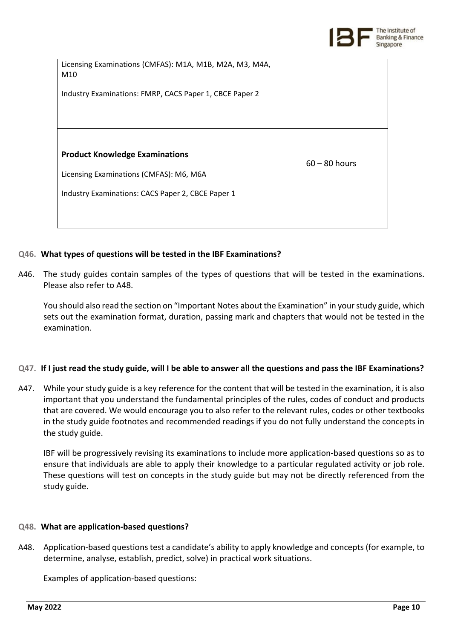

| Licensing Examinations (CMFAS): M1A, M1B, M2A, M3, M4A,<br>M10 |                 |
|----------------------------------------------------------------|-----------------|
| Industry Examinations: FMRP, CACS Paper 1, CBCE Paper 2        |                 |
|                                                                |                 |
| <b>Product Knowledge Examinations</b>                          | $60 - 80$ hours |
| Licensing Examinations (CMFAS): M6, M6A                        |                 |
| Industry Examinations: CACS Paper 2, CBCE Paper 1              |                 |
|                                                                |                 |

# **Q46. What types of questions will be tested in the IBF Examinations?**

A46. The study guides contain samples of the types of questions that will be tested in the examinations. Please also refer to A48.

You should also read the section on "Important Notes about the Examination" in your study guide, which sets out the examination format, duration, passing mark and chapters that would not be tested in the examination.

# **Q47. If I just read the study guide, will I be able to answer all the questions and pass the IBF Examinations?**

A47. While your study guide is a key reference for the content that will be tested in the examination, it is also important that you understand the fundamental principles of the rules, codes of conduct and products that are covered. We would encourage you to also refer to the relevant rules, codes or other textbooks in the study guide footnotes and recommended readings if you do not fully understand the concepts in the study guide.

IBF will be progressively revising its examinations to include more application-based questions so as to ensure that individuals are able to apply their knowledge to a particular regulated activity or job role. These questions will test on concepts in the study guide but may not be directly referenced from the study guide.

# **Q48. What are application-based questions?**

A48. Application-based questions test a candidate's ability to apply knowledge and concepts (for example, to determine, analyse, establish, predict, solve) in practical work situations.

Examples of application-based questions: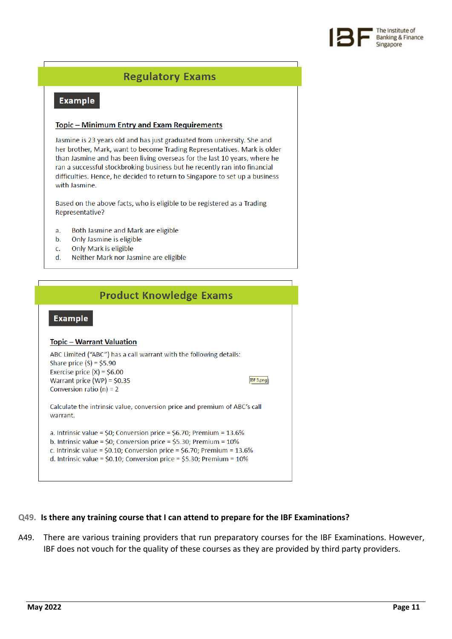

# **Regulatory Exams**

# **Example**

#### **Topic - Minimum Entry and Exam Requirements**

Jasmine is 23 years old and has just graduated from university. She and her brother, Mark, want to become Trading Representatives. Mark is older than Jasmine and has been living overseas for the last 10 years, where he ran a successful stockbroking business but he recently ran into financial difficulties. Hence, he decided to return to Singapore to set up a business with Jasmine.

Based on the above facts, who is eligible to be registered as a Trading Representative?

- Both Jasmine and Mark are eligible a.
- Only Jasmine is eligible b.
- Only Mark is eligible c.
- d. Neither Mark nor Jasmine are eligible

| <b>Product Knowledge Exams</b>                                                                                                                                                                                                                                                                                      |  |
|---------------------------------------------------------------------------------------------------------------------------------------------------------------------------------------------------------------------------------------------------------------------------------------------------------------------|--|
| <b>Example</b>                                                                                                                                                                                                                                                                                                      |  |
| <b>Topic – Warrant Valuation</b>                                                                                                                                                                                                                                                                                    |  |
| ABC Limited ("ABC") has a call warrant with the following details:<br>Share price $(S) = $5.90$<br>Exercise price $(X) = $6.00$<br>Warrant price $(WP) = $0.35$<br>IBF 3.png<br>Conversion ratio $(n) = 2$                                                                                                          |  |
| Calculate the intrinsic value, conversion price and premium of ABC's call<br>warrant.                                                                                                                                                                                                                               |  |
| a. Intrinsic value = \$0; Conversion price = \$6.70; Premium = $13.6\%$<br>b. Intrinsic value = $$0$ ; Conversion price = $$5.30$ ; Premium = $10\%$<br>c. Intrinsic value = $$0.10$ ; Conversion price = $$6.70$ ; Premium = 13.6%<br>d. Intrinsic value = $$0.10$ ; Conversion price = $$5.30$ ; Premium = $10\%$ |  |

# **Q49. Is there any training course that I can attend to prepare for the IBF Examinations?**

A49. There are various training providers that run preparatory courses for the IBF Examinations. However, IBF does not vouch for the quality of these courses as they are provided by third party providers.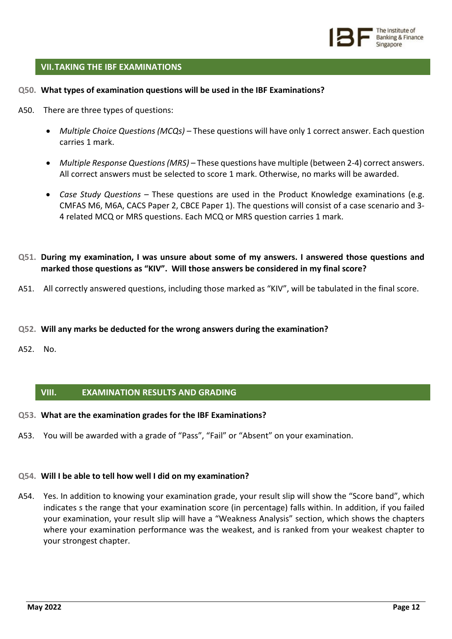

# **VII.TAKING THE IBF EXAMINATIONS**

- **Q50. What types of examination questions will be used in the IBF Examinations?**
- A50. There are three types of questions:
	- *Multiple Choice Questions (MCQs)* These questions will have only 1 correct answer. Each question carries 1 mark.
	- *Multiple Response Questions (MRS)* These questions have multiple (between 2-4) correct answers. All correct answers must be selected to score 1 mark. Otherwise, no marks will be awarded.
	- *Case Study Questions* These questions are used in the Product Knowledge examinations (e.g. CMFAS M6, M6A, CACS Paper 2, CBCE Paper 1). The questions will consist of a case scenario and 3- 4 related MCQ or MRS questions. Each MCQ or MRS question carries 1 mark.
- **Q51. During my examination, I was unsure about some of my answers. I answered those questions and marked those questions as "KIV". Will those answers be considered in my final score?**
- A51. All correctly answered questions, including those marked as "KIV", will be tabulated in the final score.
- **Q52. Will any marks be deducted for the wrong answers during the examination?**
- A52. No.

#### **VIII. EXAMINATION RESULTS AND GRADING**

- **Q53. What are the examination grades for the IBF Examinations?**
- A53. You will be awarded with a grade of "Pass", "Fail" or "Absent" on your examination.

# **Q54. Will I be able to tell how well I did on my examination?**

A54. Yes. In addition to knowing your examination grade, your result slip will show the "Score band", which indicates s the range that your examination score (in percentage) falls within. In addition, if you failed your examination, your result slip will have a "Weakness Analysis" section, which shows the chapters where your examination performance was the weakest, and is ranked from your weakest chapter to your strongest chapter.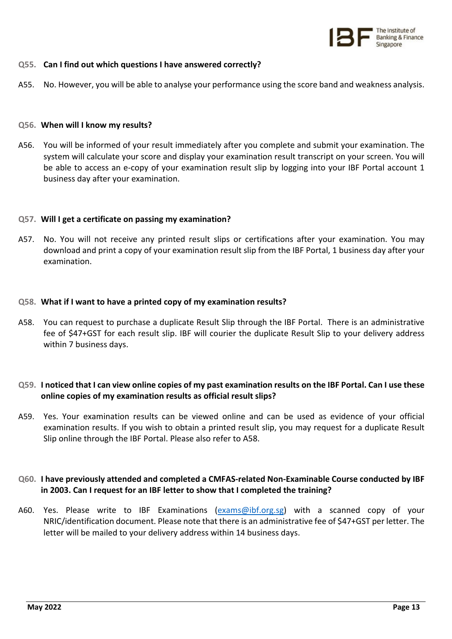

# **Q55. Can I find out which questions I have answered correctly?**

A55. No. However, you will be able to analyse your performance using the score band and weakness analysis.

#### **Q56. When will I know my results?**

A56. You will be informed of your result immediately after you complete and submit your examination. The system will calculate your score and display your examination result transcript on your screen. You will be able to access an e-copy of your examination result slip by logging into your [IBF Portal](https://eservices.ibf.org.sg/Account/Login?ReturnUrl=%2F) account 1 business day after your examination.

### **Q57. Will I get a certificate on passing my examination?**

A57. No. You will not receive any printed result slips or certifications after your examination. You may download and print a copy of your examination result slip from the [IBF Portal,](https://eservices.ibf.org.sg/Account/Login?ReturnUrl=%2F) 1 business day after your examination.

### **Q58. What if I want to have a printed copy of my examination results?**

A58. You can request to purchase a duplicate Result Slip through the [IBF Portal.](https://eservices.ibf.org.sg/Account/Login?ReturnUrl=%2F) There is an administrative fee of \$47+GST for each result slip. IBF will courier the duplicate Result Slip to your delivery address within 7 business days.

# **Q59. I noticed that I can view online copies of my past examination results on the IBF Portal. Can I use these online copies of my examination results as official result slips?**

A59. Yes. Your examination results can be viewed online and can be used as evidence of your official examination results. If you wish to obtain a printed result slip, you may request for a duplicate Result Slip online through the [IBF Portal.](https://eservices.ibf.org.sg/Account/Login?ReturnUrl=%2F) Please also refer to A58.

# **Q60. I have previously attended and completed a CMFAS-related Non-Examinable Course conducted by IBF in 2003. Can I request for an IBF letter to show that I completed the training?**

A60. Yes. Please write to IBF Examinations [\(exams@ibf.org.sg\)](mailto:exams@ibf.org.sg) with a scanned copy of your NRIC/identification document. Please note that there is an administrative fee of \$47+GST per letter. The letter will be mailed to your delivery address within 14 business days.